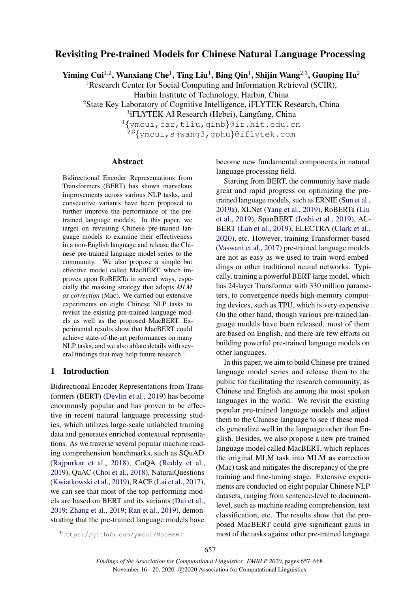# Revisiting Pre-trained Models for Chinese Natural Language Processing

Yiming Cui<sup>1,2</sup>, Wanxiang Che<sup>1</sup>, Ting Liu<sup>1</sup>, Bing Qin<sup>1</sup>, Shijin Wang<sup>2,3</sup>, Guoping Hu<sup>2</sup>

<sup>1</sup>Research Center for Social Computing and Information Retrieval (SCIR),

Harbin Institute of Technology, Harbin, China

<sup>2</sup>State Key Laboratory of Cognitive Intelligence, iFLYTEK Research, China

3 iFLYTEK AI Research (Hebei), Langfang, China

<sup>1</sup>{ymcui,car,tliu,qinb}@ir.hit.edu.cn  $2,3$ {ymcui,sjwang3,qphu}@iflytek.com

#### Abstract

Bidirectional Encoder Representations from Transformers (BERT) has shown marvelous improvements across various NLP tasks, and consecutive variants have been proposed to further improve the performance of the pretrained language models. In this paper, we target on revisiting Chinese pre-trained language models to examine their effectiveness in a non-English language and release the Chinese pre-trained language model series to the community. We also propose a simple but effective model called MacBERT, which improves upon RoBERTa in several ways, especially the masking strategy that adopts *MLM as correction* (Mac). We carried out extensive experiments on eight Chinese NLP tasks to revisit the existing pre-trained language models as well as the proposed MacBERT. Experimental results show that MacBERT could achieve state-of-the-art performances on many NLP tasks, and we also ablate details with sev-eral findings that may help future research.<sup>[1](#page-0-0)</sup>

# 1 Introduction

Bidirectional Encoder Representations from Transformers (BERT) [\(Devlin et al.,](#page-9-0) [2019\)](#page-9-0) has become enormously popular and has proven to be effective in recent natural language processing studies, which utilizes large-scale unlabeled training data and generates enriched contextual representations. As we traverse several popular machine reading comprehension benchmarks, such as SQuAD [\(Rajpurkar et al.,](#page-10-0) [2018\)](#page-10-0), CoQA [\(Reddy et al.,](#page-10-1) [2019\)](#page-10-1), QuAC [\(Choi et al.,](#page-9-1) [2018\)](#page-9-1), NaturalQuestions [\(Kwiatkowski et al.,](#page-9-2) [2019\)](#page-9-2), RACE [\(Lai et al.,](#page-9-3) [2017\)](#page-9-3), we can see that most of the top-performing models are based on BERT and its variants [\(Dai et al.,](#page-9-4) [2019;](#page-9-4) [Zhang et al.,](#page-10-2) [2019;](#page-10-2) [Ran et al.,](#page-10-3) [2019\)](#page-10-3), demonstrating that the pre-trained language models have

become new fundamental components in natural language processing field.

Starting from BERT, the community have made great and rapid progress on optimizing the pretrained language models, such as ERNIE [\(Sun et al.,](#page-10-4) [2019a\)](#page-10-4), XLNet [\(Yang et al.,](#page-10-5) [2019\)](#page-10-5), RoBERTa [\(Liu](#page-10-6) [et al.,](#page-10-6) [2019\)](#page-10-6), SpanBERT [\(Joshi et al.,](#page-9-5) [2019\)](#page-9-5), AL-BERT [\(Lan et al.,](#page-9-6) [2019\)](#page-9-6), ELECTRA [\(Clark et al.,](#page-9-7) [2020\)](#page-9-7), etc. However, training Transformer-based [\(Vaswani et al.,](#page-10-7) [2017\)](#page-10-7) pre-trained language models are not as easy as we used to train word embeddings or other traditional neural networks. Typically, training a powerful BERT-large model, which has 24-layer Transformer with 330 million parameters, to convergence needs high-memory computing devices, such as TPU, which is very expensive. On the other hand, though various pre-trained language models have been released, most of them are based on English, and there are few efforts on building powerful pre-trained language models on other languages.

In this paper, we aim to build Chinese pre-trained language model series and release them to the public for facilitating the research community, as Chinese and English are among the most spoken languages in the world. We revisit the existing popular pre-trained language models and adjust them to the Chinese language to see if these models generalize well in the language other than English. Besides, we also propose a new pre-trained language model called MacBERT, which replaces the original MLM task into MLM as correction (Mac) task and mitigates the discrepancy of the pretraining and fine-tuning stage. Extensive experiments are conducted on eight popular Chinese NLP datasets, ranging from sentence-level to documentlevel, such as machine reading comprehension, text classification, etc. The results show that the proposed MacBERT could give significant gains in most of the tasks against other pre-trained language

<span id="page-0-0"></span><sup>1</sup><https://github.com/ymcui/MacBERT>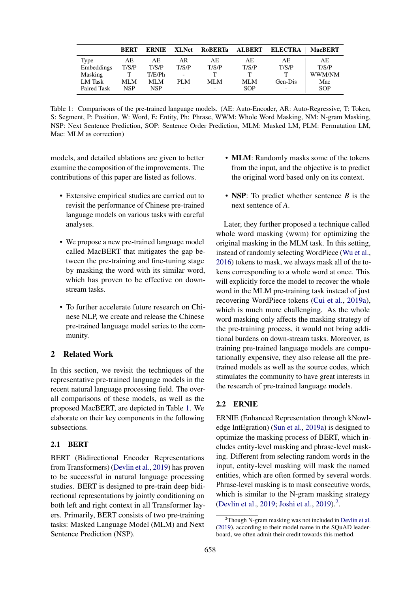<span id="page-1-0"></span>

|                | <b>BERT</b> | <b>ERNIE</b> | <b>XLNet</b>             | <b>RoBERTa</b> | <b>ALBERT</b> | <b>ELECTRA</b>           | <b>MacBERT</b> |
|----------------|-------------|--------------|--------------------------|----------------|---------------|--------------------------|----------------|
| Type           | AE          | АE           | AR                       | AE             | AE            | AE                       | AE             |
| Embeddings     | T/S/P       | T/S/P        | T/S/P                    | T/S/P          | T/S/P         | T/S/P                    | T/S/P          |
| Masking        |             | T/E/Ph       | -                        |                |               |                          | WWM/NM         |
| <b>LM</b> Task | MLM         | MLM          | PLM                      | MLM            | MLM           | Gen-Dis                  | Mac            |
| Paired Task    | <b>NSP</b>  | <b>NSP</b>   | $\overline{\phantom{0}}$ |                | SOP           | $\overline{\phantom{0}}$ | <b>SOP</b>     |

Table 1: Comparisons of the pre-trained language models. (AE: Auto-Encoder, AR: Auto-Regressive, T: Token, S: Segment, P: Position, W: Word, E: Entity, Ph: Phrase, WWM: Whole Word Masking, NM: N-gram Masking, NSP: Next Sentence Prediction, SOP: Sentence Order Prediction, MLM: Masked LM, PLM: Permutation LM, Mac: MLM as correction)

models, and detailed ablations are given to better examine the composition of the improvements. The contributions of this paper are listed as follows.

- Extensive empirical studies are carried out to revisit the performance of Chinese pre-trained language models on various tasks with careful analyses.
- We propose a new pre-trained language model called MacBERT that mitigates the gap between the pre-training and fine-tuning stage by masking the word with its similar word, which has proven to be effective on downstream tasks.
- To further accelerate future research on Chinese NLP, we create and release the Chinese pre-trained language model series to the community.

# 2 Related Work

In this section, we revisit the techniques of the representative pre-trained language models in the recent natural language processing field. The overall comparisons of these models, as well as the proposed MacBERT, are depicted in Table [1.](#page-1-0) We elaborate on their key components in the following subsections.

# 2.1 BERT

BERT (Bidirectional Encoder Representations from Transformers) [\(Devlin et al.,](#page-9-0) [2019\)](#page-9-0) has proven to be successful in natural language processing studies. BERT is designed to pre-train deep bidirectional representations by jointly conditioning on both left and right context in all Transformer layers. Primarily, BERT consists of two pre-training tasks: Masked Language Model (MLM) and Next Sentence Prediction (NSP).

- **MLM**: Randomly masks some of the tokens from the input, and the objective is to predict the original word based only on its context.
- NSP: To predict whether sentence *B* is the next sentence of *A*.

Later, they further proposed a technique called whole word masking (wwm) for optimizing the original masking in the MLM task. In this setting, instead of randomly selecting WordPiece [\(Wu et al.,](#page-10-8) [2016\)](#page-10-8) tokens to mask, we always mask all of the tokens corresponding to a whole word at once. This will explicitly force the model to recover the whole word in the MLM pre-training task instead of just recovering WordPiece tokens [\(Cui et al.,](#page-9-8) [2019a\)](#page-9-8), which is much more challenging. As the whole word masking only affects the masking strategy of the pre-training process, it would not bring additional burdens on down-stream tasks. Moreover, as training pre-trained language models are computationally expensive, they also release all the pretrained models as well as the source codes, which stimulates the community to have great interests in the research of pre-trained language models.

## 2.2 ERNIE

ERNIE (Enhanced Representation through kNowledge IntEgration) [\(Sun et al.,](#page-10-4) [2019a\)](#page-10-4) is designed to optimize the masking process of BERT, which includes entity-level masking and phrase-level masking. Different from selecting random words in the input, entity-level masking will mask the named entities, which are often formed by several words. Phrase-level masking is to mask consecutive words, which is similar to the N-gram masking strategy [\(Devlin et al.,](#page-9-0) [2019;](#page-9-0) [Joshi et al.,](#page-9-5) [2019\)](#page-9-5).<sup>[2](#page-1-1)</sup>.

<span id="page-1-1"></span> $2$ Though N-gram masking was not included in [Devlin et al.](#page-9-0) [\(2019\)](#page-9-0), according to their model name in the SQuAD leaderboard, we often admit their credit towards this method.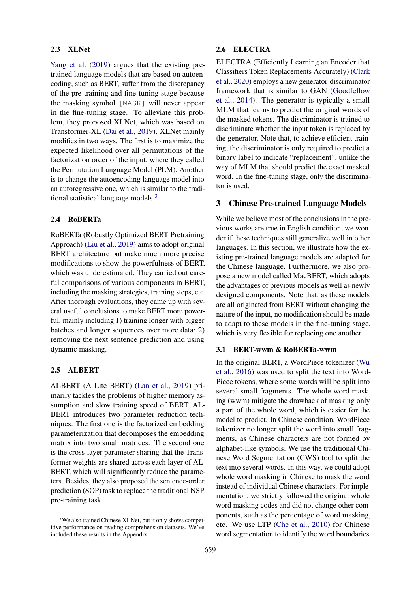## 2.3 XLNet

[Yang et al.](#page-10-5) [\(2019\)](#page-10-5) argues that the existing pretrained language models that are based on autoencoding, such as BERT, suffer from the discrepancy of the pre-training and fine-tuning stage because the masking symbol [MASK] will never appear in the fine-tuning stage. To alleviate this problem, they proposed XLNet, which was based on Transformer-XL [\(Dai et al.,](#page-9-4) [2019\)](#page-9-4). XLNet mainly modifies in two ways. The first is to maximize the expected likelihood over all permutations of the factorization order of the input, where they called the Permutation Language Model (PLM). Another is to change the autoencoding language model into an autoregressive one, which is similar to the tradi-tional statistical language models.<sup>[3](#page-2-0)</sup>

#### 2.4 RoBERTa

RoBERTa (Robustly Optimized BERT Pretraining Approach) [\(Liu et al.,](#page-10-6) [2019\)](#page-10-6) aims to adopt original BERT architecture but make much more precise modifications to show the powerfulness of BERT, which was underestimated. They carried out careful comparisons of various components in BERT, including the masking strategies, training steps, etc. After thorough evaluations, they came up with several useful conclusions to make BERT more powerful, mainly including 1) training longer with bigger batches and longer sequences over more data; 2) removing the next sentence prediction and using dynamic masking.

## 2.5 ALBERT

ALBERT (A Lite BERT) [\(Lan et al.,](#page-9-6) [2019\)](#page-9-6) primarily tackles the problems of higher memory assumption and slow training speed of BERT. AL-BERT introduces two parameter reduction techniques. The first one is the factorized embedding parameterization that decomposes the embedding matrix into two small matrices. The second one is the cross-layer parameter sharing that the Transformer weights are shared across each layer of AL-BERT, which will significantly reduce the parameters. Besides, they also proposed the sentence-order prediction (SOP) task to replace the traditional NSP pre-training task.

## 2.6 ELECTRA

ELECTRA (Efficiently Learning an Encoder that Classifiers Token Replacements Accurately) [\(Clark](#page-9-7) [et al.,](#page-9-7) [2020\)](#page-9-7) employs a new generator-discriminator framework that is similar to GAN [\(Goodfellow](#page-9-9) [et al.,](#page-9-9) [2014\)](#page-9-9). The generator is typically a small MLM that learns to predict the original words of the masked tokens. The discriminator is trained to discriminate whether the input token is replaced by the generator. Note that, to achieve efficient training, the discriminator is only required to predict a binary label to indicate "replacement", unlike the way of MLM that should predict the exact masked word. In the fine-tuning stage, only the discriminator is used.

# 3 Chinese Pre-trained Language Models

While we believe most of the conclusions in the previous works are true in English condition, we wonder if these techniques still generalize well in other languages. In this section, we illustrate how the existing pre-trained language models are adapted for the Chinese language. Furthermore, we also propose a new model called MacBERT, which adopts the advantages of previous models as well as newly designed components. Note that, as these models are all originated from BERT without changing the nature of the input, no modification should be made to adapt to these models in the fine-tuning stage, which is very flexible for replacing one another.

#### 3.1 BERT-wwm & RoBERTa-wwm

In the original BERT, a WordPiece tokenizer [\(Wu](#page-10-8) [et al.,](#page-10-8) [2016\)](#page-10-8) was used to split the text into Word-Piece tokens, where some words will be split into several small fragments. The whole word masking (wwm) mitigate the drawback of masking only a part of the whole word, which is easier for the model to predict. In Chinese condition, WordPiece tokenizer no longer split the word into small fragments, as Chinese characters are not formed by alphabet-like symbols. We use the traditional Chinese Word Segmentation (CWS) tool to split the text into several words. In this way, we could adopt whole word masking in Chinese to mask the word instead of individual Chinese characters. For implementation, we strictly followed the original whole word masking codes and did not change other components, such as the percentage of word masking, etc. We use LTP [\(Che et al.,](#page-9-10) [2010\)](#page-9-10) for Chinese word segmentation to identify the word boundaries.

<span id="page-2-0"></span><sup>&</sup>lt;sup>3</sup>We also trained Chinese XLNet, but it only shows competitive performance on reading comprehension datasets. We've included these results in the Appendix.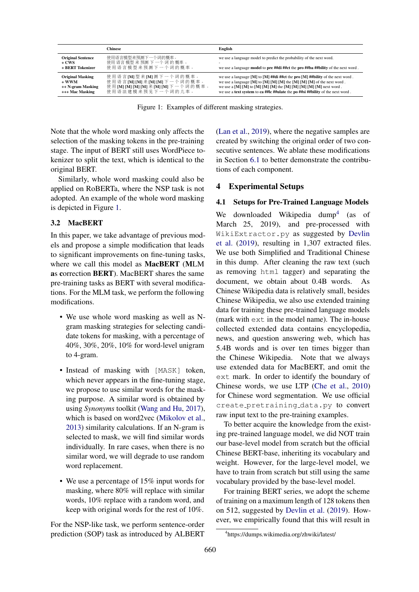<span id="page-3-0"></span>

|                                                                            | Chinese                                                                                                              | English                                                                                                                                                                                                                                                                                                                                     |
|----------------------------------------------------------------------------|----------------------------------------------------------------------------------------------------------------------|---------------------------------------------------------------------------------------------------------------------------------------------------------------------------------------------------------------------------------------------------------------------------------------------------------------------------------------------|
| <b>Original Sentence</b><br>+ CWS<br>+ BERT Tokenizer                      | 使用语言模型来预测下一个词的概率。<br>使用 语言 模型 来 预测 下 一个 词 的 概率 。<br>使用语言模型来预测下一个词的概率。                                                | we use a language model to predict the probability of the next word.<br>we use a language <b>model</b> to <b>pre</b> ##di ##ct the <b>pro</b> ##ba ##bility of the next word.                                                                                                                                                               |
| <b>Original Masking</b><br>$+$ WWM<br>++ N-gram Masking<br>+++ Mac Masking | 使用语言[M]型来[M]测下一个词的概率。<br>使用语言[M] [M] 来[M] [M] 下一个词的概率。<br>使用 [M] [M] [M] [M] 来 [M] [M] 下一个词的概率。<br>使用语法建模来预见下一个词的几率。 | we use a language [M] to [M] ##di ##ct the pro [M] ##bility of the next word.<br>we use a language $[M]$ to $[M]$ $[M]$ $[M]$ the $[M]$ $[M]$ of the next word.<br>we use a $[M]$ $[M]$ to $[M]$ $[M]$ $[M]$ the $[M]$ $[M]$ $[M]$ $[M]$ $[M]$ next word.<br>we use a text system to ca ##Ic ##ulate the po ##si ##bility of the next word. |

Figure 1: Examples of different masking strategies.

Note that the whole word masking only affects the selection of the masking tokens in the pre-training stage. The input of BERT still uses WordPiece tokenizer to split the text, which is identical to the original BERT.

Similarly, whole word masking could also be applied on RoBERTa, where the NSP task is not adopted. An example of the whole word masking is depicted in Figure [1.](#page-3-0)

# 3.2 MacBERT

In this paper, we take advantage of previous models and propose a simple modification that leads to significant improvements on fine-tuning tasks, where we call this model as MacBERT (MLM as correction BERT). MacBERT shares the same pre-training tasks as BERT with several modifications. For the MLM task, we perform the following modifications.

- We use whole word masking as well as Ngram masking strategies for selecting candidate tokens for masking, with a percentage of 40%, 30%, 20%, 10% for word-level unigram to 4-gram.
- Instead of masking with [MASK] token, which never appears in the fine-tuning stage, we propose to use similar words for the masking purpose. A similar word is obtained by using *Synonyms* toolkit [\(Wang and Hu,](#page-10-9) [2017\)](#page-10-9), which is based on word2vec [\(Mikolov et al.,](#page-10-10) [2013\)](#page-10-10) similarity calculations. If an N-gram is selected to mask, we will find similar words individually. In rare cases, when there is no similar word, we will degrade to use random word replacement.
- We use a percentage of 15% input words for masking, where 80% will replace with similar words, 10% replace with a random word, and keep with original words for the rest of 10%.

For the NSP-like task, we perform sentence-order prediction (SOP) task as introduced by ALBERT [\(Lan et al.,](#page-9-6) [2019\)](#page-9-6), where the negative samples are created by switching the original order of two consecutive sentences. We ablate these modifications in Section [6.1](#page-7-0) to better demonstrate the contributions of each component.

# 4 Experimental Setups

## 4.1 Setups for Pre-Trained Language Models

We downloaded Wikipedia dump<sup>[4](#page-3-1)</sup> (as of March 25, 2019), and pre-processed with WikiExtractor.py as suggested by [Devlin](#page-9-0) [et al.](#page-9-0) [\(2019\)](#page-9-0), resulting in 1,307 extracted files. We use both Simplified and Traditional Chinese in this dump. After cleaning the raw text (such as removing html tagger) and separating the document, we obtain about 0.4B words. As Chinese Wikipedia data is relatively small, besides Chinese Wikipedia, we also use extended training data for training these pre-trained language models (mark with ext in the model name). The in-house collected extended data contains encyclopedia, news, and question answering web, which has 5.4B words and is over ten times bigger than the Chinese Wikipedia. Note that we always use extended data for MacBERT, and omit the ext mark. In order to identify the boundary of Chinese words, we use LTP [\(Che et al.,](#page-9-10) [2010\)](#page-9-10) for Chinese word segmentation. We use official create pretraining data.py to convert raw input text to the pre-training examples.

To better acquire the knowledge from the existing pre-trained language model, we did NOT train our base-level model from scratch but the official Chinese BERT-base, inheriting its vocabulary and weight. However, for the large-level model, we have to train from scratch but still using the same vocabulary provided by the base-level model.

For training BERT series, we adopt the scheme of training on a maximum length of 128 tokens then on 512, suggested by [Devlin et al.](#page-9-0) [\(2019\)](#page-9-0). However, we empirically found that this will result in

<span id="page-3-1"></span><sup>4</sup> https://dumps.wikimedia.org/zhwiki/latest/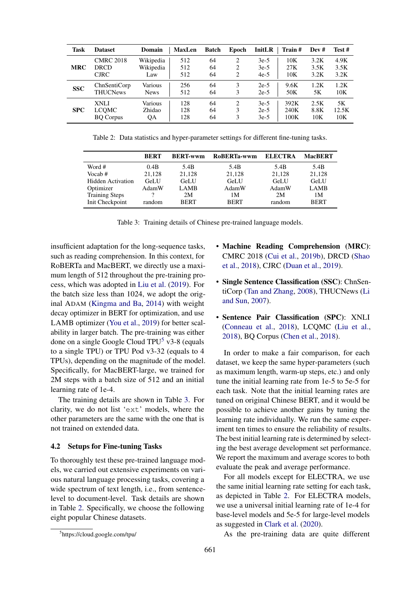<span id="page-4-2"></span>

| Task       | <b>Dataset</b>   | Domain      | <b>MaxLen</b> | <b>Batch</b> | Epoch | InitLR | Train # | Dev# | Test # |
|------------|------------------|-------------|---------------|--------------|-------|--------|---------|------|--------|
| <b>MRC</b> | <b>CMRC 2018</b> | Wikipedia   | 512           | 64           | 2     | $3e-5$ | 10K     | 3.2K | 4.9K   |
|            | DRCD             | Wikipedia   | 512           | 64           | 2     | $3e-5$ | 27K     | 3.5K | 3.5K   |
|            | <b>CJRC</b>      | Law         | 512           | 64           | 2     | $4e-5$ | 10K     | 3.2K | 3.2K   |
| <b>SSC</b> | ChnSentiCorp     | Various     | 256           | 64           | 3     | $2e-5$ | 9.6K    | 1.2K | 1.2K   |
|            | <b>THUCNews</b>  | <b>News</b> | 512           | 64           | 3     | $2e-5$ | 50K     | 5Κ   | 10K    |
| <b>SPC</b> | <b>XNLI</b>      | Various     | 128           | 64           | 2     | $3e-5$ | 392K    | 2.5K | 5Κ     |
|            | <b>LCOMC</b>     | Zhidao      | 128           | 64           | 3     | $2e-5$ | 240K    | 8.8K | 12.5K  |
|            | <b>BO</b> Corpus | QA          | 128           | 64           | 3     | $3e-5$ | 100K    | 10K  | 10K    |

Table 2: Data statistics and hyper-parameter settings for different fine-tuning tasks.

<span id="page-4-1"></span>

|                          | <b>BERT</b> | <b>BERT-wwm</b> | RoBERTa-wwm | <b>ELECTRA</b> | <b>MacBERT</b> |
|--------------------------|-------------|-----------------|-------------|----------------|----------------|
| Word #                   | 0.4B        | 5.4B            | 5.4B        | 5.4B           | 5.4B           |
| Vocab#                   | 21,128      | 21,128          | 21,128      | 21,128         | 21,128         |
| <b>Hidden Activation</b> | <b>GeLU</b> | <b>GeLU</b>     | <b>GeLU</b> | <b>GeLU</b>    | <b>GeLU</b>    |
| Optimizer                | AdamW       | <b>LAMB</b>     | AdamW       | AdamW          | <b>LAMB</b>    |
| <b>Training Steps</b>    |             | 2M              | 1M          | 2M             | 1М             |
| Init Checkpoint          | random      | <b>BERT</b>     | <b>BERT</b> | random         | <b>BERT</b>    |

Table 3: Training details of Chinese pre-trained language models.

insufficient adaptation for the long-sequence tasks, such as reading comprehension. In this context, for RoBERTa and MacBERT, we directly use a maximum length of 512 throughout the pre-training process, which was adopted in [Liu et al.](#page-10-6) [\(2019\)](#page-10-6). For the batch size less than 1024, we adopt the original ADAM [\(Kingma and Ba,](#page-9-11) [2014\)](#page-9-11) with weight decay optimizer in BERT for optimization, and use LAMB optimizer [\(You et al.,](#page-10-11) [2019\)](#page-10-11) for better scalability in larger batch. The pre-training was either done on a single Google Cloud TPU $<sup>5</sup>$  $<sup>5</sup>$  $<sup>5</sup>$  v3-8 (equals</sup> to a single TPU) or TPU Pod v3-32 (equals to 4 TPUs), depending on the magnitude of the model. Specifically, for MacBERT-large, we trained for 2M steps with a batch size of 512 and an initial learning rate of 1e-4.

The training details are shown in Table [3.](#page-4-1) For clarity, we do not list 'ext' models, where the other parameters are the same with the one that is not trained on extended data.

## 4.2 Setups for Fine-tuning Tasks

To thoroughly test these pre-trained language models, we carried out extensive experiments on various natural language processing tasks, covering a wide spectrum of text length, i.e., from sentencelevel to document-level. Task details are shown in Table [2.](#page-4-2) Specifically, we choose the following eight popular Chinese datasets.

- Machine Reading Comprehension (MRC): CMRC 2018 [\(Cui et al.,](#page-9-12) [2019b\)](#page-9-12), DRCD [\(Shao](#page-10-12) [et al.,](#page-10-12) [2018\)](#page-10-12), CJRC [\(Duan et al.,](#page-9-13) [2019\)](#page-9-13).
- Single Sentence Classification (SSC): ChnSentiCorp [\(Tan and Zhang,](#page-10-13) [2008\)](#page-10-13), THUCNews [\(Li](#page-9-14) [and Sun,](#page-9-14) [2007\)](#page-9-14).
- Sentence Pair Classification (SPC): XNLI [\(Conneau et al.,](#page-9-15) [2018\)](#page-9-15), LCQMC [\(Liu et al.,](#page-10-14) [2018\)](#page-10-14), BQ Corpus [\(Chen et al.,](#page-9-16) [2018\)](#page-9-16).

In order to make a fair comparison, for each dataset, we keep the same hyper-parameters (such as maximum length, warm-up steps, etc.) and only tune the initial learning rate from 1e-5 to 5e-5 for each task. Note that the initial learning rates are tuned on original Chinese BERT, and it would be possible to achieve another gains by tuning the learning rate individually. We run the same experiment ten times to ensure the reliability of results. The best initial learning rate is determined by selecting the best average development set performance. We report the maximum and average scores to both evaluate the peak and average performance.

For all models except for ELECTRA, we use the same initial learning rate setting for each task, as depicted in Table [2.](#page-4-2) For ELECTRA models, we use a universal initial learning rate of 1e-4 for base-level models and 5e-5 for large-level models as suggested in [Clark et al.](#page-9-7) [\(2020\)](#page-9-7).

As the pre-training data are quite different

<span id="page-4-0"></span><sup>5</sup> https://cloud.google.com/tpu/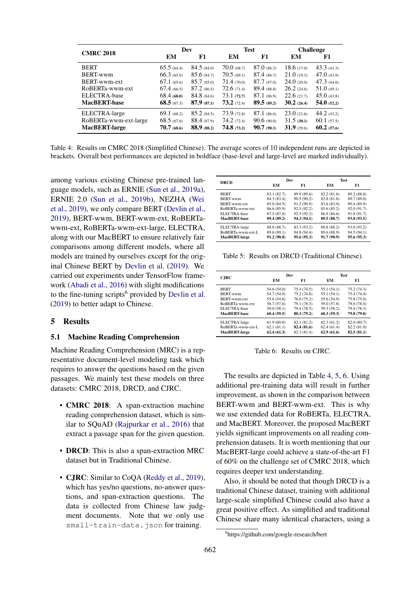<span id="page-5-1"></span>

| <b>CMRC 2018</b>      | Dev            |                 | <b>Test</b>    |                | <b>Challenge</b> |            |
|-----------------------|----------------|-----------------|----------------|----------------|------------------|------------|
|                       | EM             | F1              | EM             | F1             | EM               | F1         |
| <b>BERT</b>           | 65.5(64.4)     | 84.5(84.0)      | $70.0\,(68.7)$ | $87.0\,(86.3)$ | 18.6(17.0)       | 43.3(41.3) |
| BERT-wwm              | 66.3(65.0)     | $85.6 \ (84.7)$ | 70.5(69.1)     | 87.4(86.7)     | 21.0(19.3)       | 47.0(43.9) |
| BERT-wwm-ext          | $67.1\ (65.6)$ | 85.7(85.0)      | 71.4(70.0)     | 87.7(87.0)     | 24.0(20.0)       | 47.3(44.6) |
| RoBERTa-wwm-ext       | 67.4(66.5)     | 87.2(86.5)      | 72.6(71.4)     | $89.4$ (88.8)  | $26.2 \ (24.6)$  | 51.0(49.1) |
| ELECTRA-base          | 68.4(68.0)     | 84.8(84.6)      | 73.1(72.7)     | 87.1(86.9)     | 22.6(21.7)       | 45.0(43.8) |
| <b>MacBERT-base</b>   | 68.5(67.3)     | 87.9(87.1)      | 73.2(72.4)     | 89.5(89.2)     | 30.2(26.4)       | 54.0(52.2) |
| ELECTRA-large         | 69.1(68.2)     | 85.2(84.5)      | 73.9(72.8)     | $87.1\ (86.6)$ | 23.0(21.6)       | 44.2(43.2) |
| RoBERTa-wwm-ext-large | 68.5(67.6)     | 88.4 (87.9)     | 74.2(72.4)     | 90.6(90.0)     | 31.5(30.1)       | 60.1(57.5) |
| <b>MacBERT-large</b>  | $70.7\,(68.6)$ | 88.9 (88.2)     | 74.8(73.2)     | 90.7(90.1)     | 31.9(29.6)       | 60.2(57.6) |

Table 4: Results on CMRC 2018 (Simplified Chinese). The average scores of 10 independent runs are depicted in brackets. Overall best performances are depicted in boldface (base-level and large-level are marked individually).

among various existing Chinese pre-trained language models, such as ERNIE [\(Sun et al.,](#page-10-4) [2019a\)](#page-10-4), ERNIE 2.0 [\(Sun et al.,](#page-10-15) [2019b\)](#page-10-15), NEZHA [\(Wei](#page-10-16) [et al.,](#page-10-16) [2019\)](#page-10-16), we only compare BERT [\(Devlin et al.,](#page-9-0) [2019\)](#page-9-0), BERT-wwm, BERT-wwm-ext, RoBERTawwm-ext, RoBERTa-wwm-ext-large, ELECTRA, along with our MacBERT to ensure relatively fair comparisons among different models, where all models are trained by ourselves except for the original Chinese BERT by [Devlin et al.](#page-9-0) [\(2019\)](#page-9-0). We carried out experiments under TensorFlow framework [\(Abadi et al.,](#page-9-17) [2016\)](#page-9-17) with slight modifications to the fine-tuning scripts<sup>[6](#page-5-0)</sup> provided by [Devlin et al.](#page-9-0) [\(2019\)](#page-9-0) to better adapt to Chinese.

## 5 Results

#### 5.1 Machine Reading Comprehension

Machine Reading Comprehension (MRC) is a representative document-level modeling task which requires to answer the questions based on the given passages. We mainly test these models on three datasets: CMRC 2018, DRCD, and CJRC.

- CMRC 2018: A span-extraction machine reading comprehension dataset, which is similar to SQuAD [\(Rajpurkar et al.,](#page-10-17) [2016\)](#page-10-17) that extract a passage span for the given question.
- DRCD: This is also a span-extraction MRC dataset but in Traditional Chinese.
- CJRC: Similar to CoQA [\(Reddy et al.,](#page-10-1) [2019\)](#page-10-1), which has yes/no questions, no-answer questions, and span-extraction questions. The data is collected from Chinese law judgment documents. Note that we only use small-train-data.json for training.

<span id="page-5-2"></span>

| <b>DRCD</b>          |             | Dev         |             | <b>Test</b> |  |  |
|----------------------|-------------|-------------|-------------|-------------|--|--|
|                      | EМ          | F1          | EМ          | F1          |  |  |
| <b>BERT</b>          | 83.1 (82.7) | 89.9 (89.6) | 82.2 (81.6) | 89.2 (88.8) |  |  |
| <b>BERT-wwm</b>      | 84.3 (83.4) | 90.5(90.2)  | 82.8 (81.8) | 89.7 (89.0) |  |  |
| BERT-wwm-ext         | 85.0 (84.5) | 91.2 (90.9) | 83.6 (83.0) | 90.4 (89.9) |  |  |
| RoBERTa-wwm-ext      | 86.6 (85.9) | 92.5 (92.2) | 85.6 (85.2) | 92.0 (91.7) |  |  |
| ELECTRA-base         | 87.5 (87.0) | 92.5 (92.3) | 86.9 (86.6) | 91.8 (91.7) |  |  |
| MacBERT-base         | 89.4 (89.2) | 94.3 (94.1) | 89.5 (88.7) | 93.8 (93.5) |  |  |
| ELECTRA-large        | 88.8 (88.7) | 83.3 (93.2) | 88.8 (88.2) | 93.6 (93.2) |  |  |
| RoBERTa-wwm-ext-L    | 89.6 (89.1) | 94.8 (94.4) | 89.6 (88.9) | 94.5 (94.1) |  |  |
| <b>MacBERT-large</b> | 91.2 (90.8) | 95.6 (95.3) | 91.7 (90.9) | 95.6 (95.3) |  |  |
|                      |             |             |             |             |  |  |

Table 5: Results on DRCD (Traditional Chinese).

<span id="page-5-3"></span>

|                      | Dev         |             | <b>Test</b> |             |  |  |
|----------------------|-------------|-------------|-------------|-------------|--|--|
| <b>CJRC</b>          | EМ          | F1          | EМ          | F1          |  |  |
| <b>BERT</b>          | 54.6 (54.0) | 75.4 (74.5) | 55.1 (54.1) | 75.2 (74.3) |  |  |
| <b>BERT-wwm</b>      | 54.7 (54.0) | 75.2 (74.8) | 55.1 (54.1) | 75.4 (74.4) |  |  |
| BERT-wwm-ext         | 55.6 (54.8) | 76.0(75.3)  | 55.6 (54.9) | 75.8 (75.0) |  |  |
| RoBERTa-wwm-ext      | 58.7 (57.6) | 79.1 (78.3) | 59.0 (57.8) | 79.0 (78.0) |  |  |
| ELECTRA-base         | 59.0 (58.1) | 79.4 (78.5) | 59.3 (58.2) | 79.4 (78.3) |  |  |
| MacBERT-base         | 60.4(59.5)  | 80.3 (79.2) | 60.3(59.3)  | 79.8 (79.0) |  |  |
| ELECTRA-large        | 61.9(60.8)  | 82.1 (81.2) | 62.3(61.2)  | 82.0 (80.7) |  |  |
| RoBERTa-wwm-ext-L    | 62.1(61.1)  | 82.4 (81.6) | 62.4(61.4)  | 82.2 (81.0) |  |  |
| <b>MacBERT-large</b> | 62.4(61.3)  | 82.3 (81.4) | 62.9(61.6)  | 82.5(81.1)  |  |  |

Table 6: Results on CJRC.

The results are depicted in Table [4,](#page-5-1) [5,](#page-5-2) [6.](#page-5-3) Using additional pre-training data will result in further improvement, as shown in the comparison between BERT-wwm and BERT-wwm-ext. This is why we use extended data for RoBERTa, ELECTRA, and MacBERT. Moreover, the proposed MacBERT yields significant improvements on all reading comprehension datasets. It is worth mentioning that our MacBERT-large could achieve a state-of-the-art F1 of 60% on the challenge set of CMRC 2018, which requires deeper text understanding.

Also, it should be noted that though DRCD is a traditional Chinese dataset, training with additional large-scale simplified Chinese could also have a great positive effect. As simplified and traditional Chinese share many identical characters, using a

<span id="page-5-0"></span><sup>6</sup> https://github.com/google-research/bert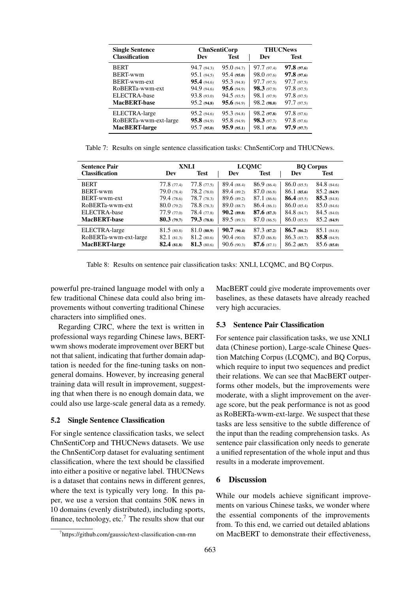| <b>Single Sentence</b> | <b>THUCNews</b><br><b>ChnSentiCorp</b> |             |             |             |
|------------------------|----------------------------------------|-------------|-------------|-------------|
| <b>Classification</b>  | Dev                                    | <b>Test</b> | Dev         | <b>Test</b> |
| <b>BERT</b>            | 94.7(94.3)                             | 95.0(94.7)  | 97.7(97.4)  | 97.8(97.6)  |
| BERT-wwm               | 95.1(94.5)                             | 95.4(95.0)  | 98.0(97.6)  | 97.8(97.6)  |
| BERT-wwm-ext           | 95.4(94.6)                             | 95.3(94.8)  | 97.7(97.5)  | 97.7(97.5)  |
| RoBERTa-wwm-ext        | 94.9 (94.6)                            | 95.6(94.9)  | 98.3(97.9)  | 97.8(97.5)  |
| ELECTRA-base           | 93.8(93.0)                             | 94.5(93.5)  | 98.1(97.9)  | 97.8(97.5)  |
| <b>MacBERT-base</b>    | 95.2(94.8)                             | 95.6(94.9)  | 98.2(98.0)  | 97.7(97.5)  |
| ELECTRA-large          | 95.2(94.6)                             | 95.3(94.8)  | 98.2(97.8)  | 97.8(97.6)  |
| RoBERTa-wwm-ext-large  | 95.8(94.9)                             | 95.8(94.9)  | 98.3(97.7)  | 97.8(97.6)  |
| MacBERT-large          | 95.7(95.0)                             | 95.9(95.1)  | 98.1 (97.8) | 97.9(97.7)  |

Table 7: Results on single sentence classification tasks: ChnSentiCorp and THUCNews.

| <b>Sentence Pair</b>  | XNLI          |                    | <b>LCOMC</b>  |                    | <b>BQ Corpus</b> |                    |
|-----------------------|---------------|--------------------|---------------|--------------------|------------------|--------------------|
| <b>Classification</b> | Dev           | <b>Test</b>        | Dev           | <b>Test</b>        | Dev              | <b>Test</b>        |
| <b>BERT</b>           | 77.8(77.4)    | 77.8(77.5)         | 89.4(88.4)    | 86.9(86.4)         | $86.0$ (85.5)    | 84.8(84.6)         |
| BERT-wwm              | 79.0(78.4)    | 78.2(78.0)         | 89.4(89.2)    | $87.0\ (86.8)$     | 86.1(85.6)       | 85.2(84.9)         |
| BERT-wwm-ext          | 79.4 (78.6)   | 78.7(78.3)         | 89.6(89.2)    | $87.1\ (86.6)$     | $86.4$ (85.5)    | 85.3(84.8)         |
| RoBERTa-wwm-ext       | 80.0(79.2)    | 78.8(78.3)         | $89.0$ (88.7) | 86.4(86.1)         | $86.0$ (85.4)    | $85.0\,(84.6)$     |
| ELECTRA-base          | 77.9(77.0)    | 78.4(77.8)         | $90.2$ (89.8) | 87.6(87.3)         | 84.8(84.7)       | 84.5(84.0)         |
| <b>MacBERT-base</b>   | 80.3(79.7)    | 79.3(78.8)         | 89.5(89.3)    | 87.0(86.5)         | $86.0$ (85.5)    | 85.2(84.9)         |
| ELECTRA-large         | 81.5(80.8)    | $81.0\ (80.9)$     | 90.7(90.4)    | 87.3(87.2)         | 86.7(86.2)       | 85.1(84.8)         |
| RoBERTa-wwm-ext-large | 82.1(81.3)    | 81.2(80.6)         | 90.4(90.0)    | $87.0\ (86.8)$     | 86.3(85.7)       | <b>85.8</b> (84.9) |
| <b>MacBERT-large</b>  | $82.4$ (81.8) | <b>81.3</b> (80.6) | 90.6(90.3)    | <b>87.6</b> (87.1) | 86.2(85.7)       | 85.6(85.0)         |

Table 8: Results on sentence pair classification tasks: XNLI, LCQMC, and BQ Corpus.

powerful pre-trained language model with only a few traditional Chinese data could also bring improvements without converting traditional Chinese characters into simplified ones.

Regarding CJRC, where the text is written in professional ways regarding Chinese laws, BERTwwm shows moderate improvement over BERT but not that salient, indicating that further domain adaptation is needed for the fine-tuning tasks on nongeneral domains. However, by increasing general training data will result in improvement, suggesting that when there is no enough domain data, we could also use large-scale general data as a remedy.

## 5.2 Single Sentence Classification

For single sentence classification tasks, we select ChnSentiCorp and THUCNews datasets. We use the ChnSentiCorp dataset for evaluating sentiment classification, where the text should be classified into either a positive or negative label. THUCNews is a dataset that contains news in different genres, where the text is typically very long. In this paper, we use a version that contains 50K news in 10 domains (evenly distributed), including sports, finance, technology, etc.<sup>[7](#page-6-0)</sup> The results show that our MacBERT could give moderate improvements over baselines, as these datasets have already reached very high accuracies.

#### 5.3 Sentence Pair Classification

For sentence pair classification tasks, we use XNLI data (Chinese portion), Large-scale Chinese Question Matching Corpus (LCQMC), and BQ Corpus, which require to input two sequences and predict their relations. We can see that MacBERT outperforms other models, but the improvements were moderate, with a slight improvement on the average score, but the peak performance is not as good as RoBERTa-wwm-ext-large. We suspect that these tasks are less sensitive to the subtle difference of the input than the reading comprehension tasks. As sentence pair classification only needs to generate a unified representation of the whole input and thus results in a moderate improvement.

#### 6 Discussion

While our models achieve significant improvements on various Chinese tasks, we wonder where the essential components of the improvements from. To this end, we carried out detailed ablations on MacBERT to demonstrate their effectiveness,

<span id="page-6-0"></span><sup>7</sup> https://github.com/gaussic/text-classification-cnn-rnn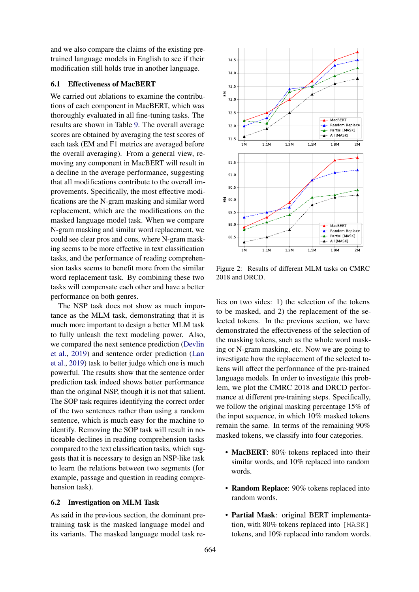and we also compare the claims of the existing pretrained language models in English to see if their modification still holds true in another language.

#### <span id="page-7-0"></span>6.1 Effectiveness of MacBERT

We carried out ablations to examine the contributions of each component in MacBERT, which was thoroughly evaluated in all fine-tuning tasks. The results are shown in Table [9.](#page-8-0) The overall average scores are obtained by averaging the test scores of each task (EM and F1 metrics are averaged before the overall averaging). From a general view, removing any component in MacBERT will result in a decline in the average performance, suggesting that all modifications contribute to the overall improvements. Specifically, the most effective modifications are the N-gram masking and similar word replacement, which are the modifications on the masked language model task. When we compare N-gram masking and similar word replacement, we could see clear pros and cons, where N-gram masking seems to be more effective in text classification tasks, and the performance of reading comprehension tasks seems to benefit more from the similar word replacement task. By combining these two tasks will compensate each other and have a better performance on both genres.

The NSP task does not show as much importance as the MLM task, demonstrating that it is much more important to design a better MLM task to fully unleash the text modeling power. Also, we compared the next sentence prediction [\(Devlin](#page-9-0) [et al.,](#page-9-0) [2019\)](#page-9-0) and sentence order prediction [\(Lan](#page-9-6) [et al.,](#page-9-6) [2019\)](#page-9-6) task to better judge which one is much powerful. The results show that the sentence order prediction task indeed shows better performance than the original NSP, though it is not that salient. The SOP task requires identifying the correct order of the two sentences rather than using a random sentence, which is much easy for the machine to identify. Removing the SOP task will result in noticeable declines in reading comprehension tasks compared to the text classification tasks, which suggests that it is necessary to design an NSP-like task to learn the relations between two segments (for example, passage and question in reading comprehension task).

## 6.2 Investigation on MLM Task

As said in the previous section, the dominant pretraining task is the masked language model and its variants. The masked language model task re-

<span id="page-7-1"></span>

Figure 2: Results of different MLM tasks on CMRC 2018 and DRCD.

lies on two sides: 1) the selection of the tokens to be masked, and 2) the replacement of the selected tokens. In the previous section, we have demonstrated the effectiveness of the selection of the masking tokens, such as the whole word masking or N-gram masking, etc. Now we are going to investigate how the replacement of the selected tokens will affect the performance of the pre-trained language models. In order to investigate this problem, we plot the CMRC 2018 and DRCD performance at different pre-training steps. Specifically, we follow the original masking percentage 15% of the input sequence, in which 10% masked tokens remain the same. In terms of the remaining 90% masked tokens, we classify into four categories.

- MacBERT: 80% tokens replaced into their similar words, and 10% replaced into random words.
- Random Replace: 90% tokens replaced into random words.
- Partial Mask: original BERT implementation, with 80% tokens replaced into [MASK] tokens, and 10% replaced into random words.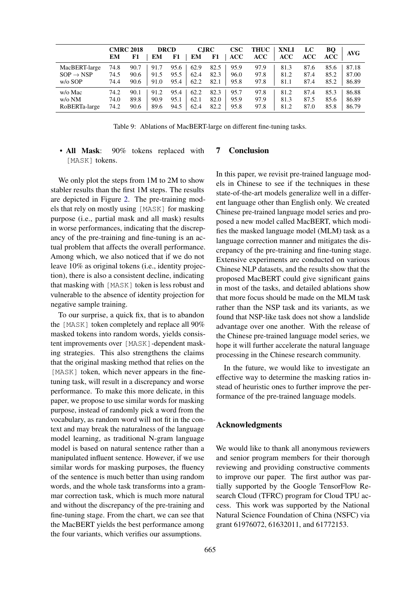<span id="page-8-0"></span>

|                       | EM   | <b>CMRC 2018</b><br>F1 | <b>DRCD</b><br>EМ | F1   | EM   | <b>C.IRC</b><br>F1 | $\csc$<br><b>ACC</b> | <b>THUC</b><br>ACC | <b>XNLI</b><br><b>ACC</b> | LC<br>ACC | BQ<br>ACC | AVG   |
|-----------------------|------|------------------------|-------------------|------|------|--------------------|----------------------|--------------------|---------------------------|-----------|-----------|-------|
| MacBERT-large         | 74.8 | 90.7                   | 91.7              | 95.6 | 62.9 | 82.5               | 95.9                 | 97.9               | 81.3                      | 87.6      | 85.6      | 87.18 |
| $SOP \rightarrow NSP$ | 74.5 | 90.6                   | 91.5              | 95.5 | 62.4 | 82.3               | 96.0                 | 97.8               | 81.2                      | 87.4      | 85.2      | 87.00 |
| $w/o$ SOP             | 74.4 | 90.6                   | 91.0              | 95.4 | 62.2 | 82.1               | 95.8                 | 97.8               | 81.1                      | 87.4      | 85.2      | 86.89 |
| w/o Mac               | 74.2 | 90.1                   | 91.2              | 95.4 | 62.2 | 82.3               | 95.7                 | 97.8               | 81.2                      | 87.4      | 85.3      | 86.88 |
| $w$ /o NM             | 74.0 | 89.8                   | 90.9              | 95.1 | 62.1 | 82.0               | 95.9                 | 97.9               | 81.3                      | 87.5      | 85.6      | 86.89 |
| RoBERTa-large         | 74.2 | 90.6                   | 89.6              | 94.5 | 62.4 | 82.2               | 95.8                 | 97.8               | 81.2                      | 87.0      | 85.8      | 86.79 |

Table 9: Ablations of MacBERT-large on different fine-tuning tasks.

• All Mask: 90% tokens replaced with [MASK] tokens. 7 Conclusion

We only plot the steps from 1M to 2M to show stabler results than the first 1M steps. The results are depicted in Figure [2.](#page-7-1) The pre-training models that rely on mostly using [MASK] for masking purpose (i.e., partial mask and all mask) results in worse performances, indicating that the discrepancy of the pre-training and fine-tuning is an actual problem that affects the overall performance. Among which, we also noticed that if we do not leave 10% as original tokens (i.e., identity projection), there is also a consistent decline, indicating that masking with [MASK] token is less robust and vulnerable to the absence of identity projection for negative sample training.

To our surprise, a quick fix, that is to abandon the [MASK] token completely and replace all 90% masked tokens into random words, yields consistent improvements over [MASK]-dependent masking strategies. This also strengthens the claims that the original masking method that relies on the [MASK] token, which never appears in the finetuning task, will result in a discrepancy and worse performance. To make this more delicate, in this paper, we propose to use similar words for masking purpose, instead of randomly pick a word from the vocabulary, as random word will not fit in the context and may break the naturalness of the language model learning, as traditional N-gram language model is based on natural sentence rather than a manipulated influent sentence. However, if we use similar words for masking purposes, the fluency of the sentence is much better than using random words, and the whole task transforms into a grammar correction task, which is much more natural and without the discrepancy of the pre-training and fine-tuning stage. From the chart, we can see that the MacBERT yields the best performance among the four variants, which verifies our assumptions.

In this paper, we revisit pre-trained language models in Chinese to see if the techniques in these state-of-the-art models generalize well in a different language other than English only. We created Chinese pre-trained language model series and proposed a new model called MacBERT, which modifies the masked language model (MLM) task as a language correction manner and mitigates the discrepancy of the pre-training and fine-tuning stage. Extensive experiments are conducted on various Chinese NLP datasets, and the results show that the proposed MacBERT could give significant gains in most of the tasks, and detailed ablations show that more focus should be made on the MLM task rather than the NSP task and its variants, as we found that NSP-like task does not show a landslide advantage over one another. With the release of the Chinese pre-trained language model series, we hope it will further accelerate the natural language processing in the Chinese research community.

In the future, we would like to investigate an effective way to determine the masking ratios instead of heuristic ones to further improve the performance of the pre-trained language models.

## Acknowledgments

We would like to thank all anonymous reviewers and senior program members for their thorough reviewing and providing constructive comments to improve our paper. The first author was partially supported by the Google TensorFlow Research Cloud (TFRC) program for Cloud TPU access. This work was supported by the National Natural Science Foundation of China (NSFC) via grant 61976072, 61632011, and 61772153.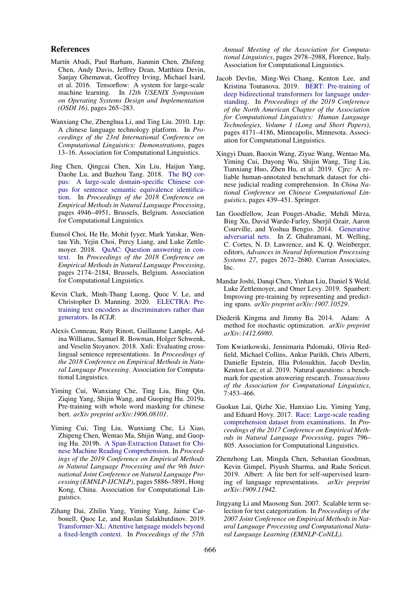#### References

- <span id="page-9-17"></span>Martín Abadi, Paul Barham, Jianmin Chen, Zhifeng Chen, Andy Davis, Jeffrey Dean, Matthieu Devin, Sanjay Ghemawat, Geoffrey Irving, Michael Isard, et al. 2016. Tensorflow: A system for large-scale machine learning. In *12th USENIX Symposium on Operating Systems Design and Implementation (OSDI 16)*, pages 265–283.
- <span id="page-9-10"></span>Wanxiang Che, Zhenghua Li, and Ting Liu. 2010. Ltp: A chinese language technology platform. In *Proceedings of the 23rd International Conference on Computational Linguistics: Demonstrations*, pages 13–16. Association for Computational Linguistics.
- <span id="page-9-16"></span>Jing Chen, Qingcai Chen, Xin Liu, Haijun Yang, Daohe Lu, and Buzhou Tang. 2018. [The BQ cor](https://www.aclweb.org/anthology/D18-1536)[pus: A large-scale domain-specific Chinese cor](https://www.aclweb.org/anthology/D18-1536)[pus for sentence semantic equivalence identifica](https://www.aclweb.org/anthology/D18-1536)[tion.](https://www.aclweb.org/anthology/D18-1536) In *Proceedings of the 2018 Conference on Empirical Methods in Natural Language Processing*, pages 4946–4951, Brussels, Belgium. Association for Computational Linguistics.
- <span id="page-9-1"></span>Eunsol Choi, He He, Mohit Iyyer, Mark Yatskar, Wentau Yih, Yejin Choi, Percy Liang, and Luke Zettlemoyer. 2018. [QuAC: Question answering in con](https://www.aclweb.org/anthology/D18-1241)[text.](https://www.aclweb.org/anthology/D18-1241) In *Proceedings of the 2018 Conference on Empirical Methods in Natural Language Processing*, pages 2174–2184, Brussels, Belgium. Association for Computational Linguistics.
- <span id="page-9-7"></span>Kevin Clark, Minh-Thang Luong, Quoc V. Le, and Christopher D. Manning. 2020. [ELECTRA: Pre](https://openreview.net/pdf?id=r1xMH1BtvB)[training text encoders as discriminators rather than](https://openreview.net/pdf?id=r1xMH1BtvB) [generators.](https://openreview.net/pdf?id=r1xMH1BtvB) In *ICLR*.
- <span id="page-9-15"></span>Alexis Conneau, Ruty Rinott, Guillaume Lample, Adina Williams, Samuel R. Bowman, Holger Schwenk, and Veselin Stoyanov. 2018. Xnli: Evaluating crosslingual sentence representations. In *Proceedings of the 2018 Conference on Empirical Methods in Natural Language Processing*. Association for Computational Linguistics.
- <span id="page-9-8"></span>Yiming Cui, Wanxiang Che, Ting Liu, Bing Qin, Ziqing Yang, Shijin Wang, and Guoping Hu. 2019a. Pre-training with whole word masking for chinese bert. *arXiv preprint arXiv:1906.08101*.
- <span id="page-9-12"></span>Yiming Cui, Ting Liu, Wanxiang Che, Li Xiao, Zhipeng Chen, Wentao Ma, Shijin Wang, and Guoping Hu. 2019b. [A Span-Extraction Dataset for Chi](https://www.aclweb.org/anthology/D19-1600)[nese Machine Reading Comprehension.](https://www.aclweb.org/anthology/D19-1600) In *Proceedings of the 2019 Conference on Empirical Methods in Natural Language Processing and the 9th International Joint Conference on Natural Language Processing (EMNLP-IJCNLP)*, pages 5886–5891, Hong Kong, China. Association for Computational Linguistics.
- <span id="page-9-4"></span>Zihang Dai, Zhilin Yang, Yiming Yang, Jaime Carbonell, Quoc Le, and Ruslan Salakhutdinov. 2019. [Transformer-XL: Attentive language models beyond](https://doi.org/10.18653/v1/P19-1285) [a fixed-length context.](https://doi.org/10.18653/v1/P19-1285) In *Proceedings of the 57th*

*Annual Meeting of the Association for Computational Linguistics*, pages 2978–2988, Florence, Italy. Association for Computational Linguistics.

- <span id="page-9-0"></span>Jacob Devlin, Ming-Wei Chang, Kenton Lee, and Kristina Toutanova. 2019. [BERT: Pre-training of](https://www.aclweb.org/anthology/N19-1423) [deep bidirectional transformers for language under](https://www.aclweb.org/anthology/N19-1423)[standing.](https://www.aclweb.org/anthology/N19-1423) In *Proceedings of the 2019 Conference of the North American Chapter of the Association for Computational Linguistics: Human Language Technologies, Volume 1 (Long and Short Papers)*, pages 4171–4186, Minneapolis, Minnesota. Association for Computational Linguistics.
- <span id="page-9-13"></span>Xingyi Duan, Baoxin Wang, Ziyue Wang, Wentao Ma, Yiming Cui, Dayong Wu, Shijin Wang, Ting Liu, Tianxiang Huo, Zhen Hu, et al. 2019. Cjrc: A reliable human-annotated benchmark dataset for chinese judicial reading comprehension. In *China National Conference on Chinese Computational Linguistics*, pages 439–451. Springer.
- <span id="page-9-9"></span>Ian Goodfellow, Jean Pouget-Abadie, Mehdi Mirza, Bing Xu, David Warde-Farley, Sherjil Ozair, Aaron Courville, and Yoshua Bengio. 2014. [Generative](http://papers.nips.cc/paper/5423-generative-adversarial-nets.pdf) [adversarial nets.](http://papers.nips.cc/paper/5423-generative-adversarial-nets.pdf) In Z. Ghahramani, M. Welling, C. Cortes, N. D. Lawrence, and K. Q. Weinberger, editors, *Advances in Neural Information Processing Systems 27*, pages 2672–2680. Curran Associates, Inc.
- <span id="page-9-5"></span>Mandar Joshi, Danqi Chen, Yinhan Liu, Daniel S Weld, Luke Zettlemoyer, and Omer Levy. 2019. Spanbert: Improving pre-training by representing and predicting spans. *arXiv preprint arXiv:1907.10529*.
- <span id="page-9-11"></span>Diederik Kingma and Jimmy Ba. 2014. Adam: A method for stochastic optimization. *arXiv preprint arXiv:1412.6980*.
- <span id="page-9-2"></span>Tom Kwiatkowski, Jennimaria Palomaki, Olivia Redfield, Michael Collins, Ankur Parikh, Chris Alberti, Danielle Epstein, Illia Polosukhin, Jacob Devlin, Kenton Lee, et al. 2019. Natural questions: a benchmark for question answering research. *Transactions of the Association for Computational Linguistics*, 7:453–466.
- <span id="page-9-3"></span>Guokun Lai, Qizhe Xie, Hanxiao Liu, Yiming Yang, and Eduard Hovy. 2017. [Race: Large-scale reading](http://www.aclweb.org/anthology/D17-1083) [comprehension dataset from examinations.](http://www.aclweb.org/anthology/D17-1083) In *Proceedings of the 2017 Conference on Empirical Methods in Natural Language Processing*, pages 796– 805. Association for Computational Linguistics.
- <span id="page-9-6"></span>Zhenzhong Lan, Mingda Chen, Sebastian Goodman, Kevin Gimpel, Piyush Sharma, and Radu Soricut. 2019. Albert: A lite bert for self-supervised learning of language representations. *arXiv preprint arXiv:1909.11942*.
- <span id="page-9-14"></span>Jingyang Li and Maosong Sun. 2007. Scalable term selection for text categorization. In *Proceedings of the 2007 Joint Conference on Empirical Methods in Natural Language Processing and Computational Natural Language Learning (EMNLP-CoNLL)*.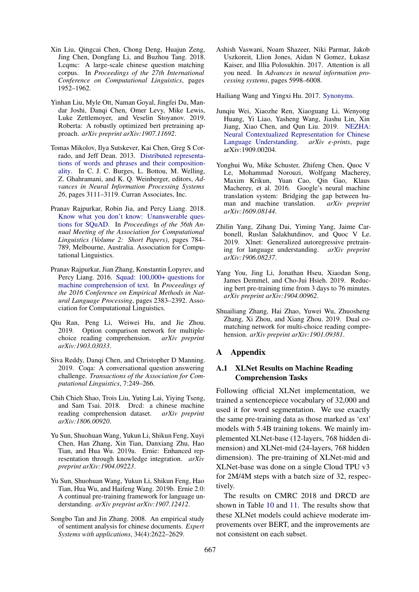- <span id="page-10-14"></span>Xin Liu, Qingcai Chen, Chong Deng, Huajun Zeng, Jing Chen, Dongfang Li, and Buzhou Tang. 2018. Lcqmc: A large-scale chinese question matching corpus. In *Proceedings of the 27th International Conference on Computational Linguistics*, pages 1952–1962.
- <span id="page-10-6"></span>Yinhan Liu, Myle Ott, Naman Goyal, Jingfei Du, Mandar Joshi, Danqi Chen, Omer Levy, Mike Lewis, Luke Zettlemoyer, and Veselin Stoyanov. 2019. Roberta: A robustly optimized bert pretraining approach. *arXiv preprint arXiv:1907.11692*.
- <span id="page-10-10"></span>Tomas Mikolov, Ilya Sutskever, Kai Chen, Greg S Corrado, and Jeff Dean. 2013. [Distributed representa](http://papers.nips.cc/paper/5021-distributed-representations-of-words-and-phrases-and-their-compositionality.pdf)[tions of words and phrases and their composition](http://papers.nips.cc/paper/5021-distributed-representations-of-words-and-phrases-and-their-compositionality.pdf)[ality.](http://papers.nips.cc/paper/5021-distributed-representations-of-words-and-phrases-and-their-compositionality.pdf) In C. J. C. Burges, L. Bottou, M. Welling, Z. Ghahramani, and K. Q. Weinberger, editors, *Advances in Neural Information Processing Systems 26*, pages 3111–3119. Curran Associates, Inc.
- <span id="page-10-0"></span>Pranav Rajpurkar, Robin Jia, and Percy Liang. 2018. [Know what you don't know: Unanswerable ques](https://www.aclweb.org/anthology/P18-2124)[tions for SQuAD.](https://www.aclweb.org/anthology/P18-2124) In *Proceedings of the 56th Annual Meeting of the Association for Computational Linguistics (Volume 2: Short Papers)*, pages 784– 789, Melbourne, Australia. Association for Computational Linguistics.
- <span id="page-10-17"></span>Pranav Rajpurkar, Jian Zhang, Konstantin Lopyrev, and Percy Liang. 2016. [Squad: 100,000+ questions for](https://doi.org/10.18653/v1/D16-1264) [machine comprehension of text.](https://doi.org/10.18653/v1/D16-1264) In *Proceedings of the 2016 Conference on Empirical Methods in Natural Language Processing*, pages 2383–2392. Association for Computational Linguistics.
- <span id="page-10-3"></span>Qiu Ran, Peng Li, Weiwei Hu, and Jie Zhou. 2019. Option comparison network for multiplechoice reading comprehension. *arXiv preprint arXiv:1903.03033*.
- <span id="page-10-1"></span>Siva Reddy, Danqi Chen, and Christopher D Manning. 2019. Coqa: A conversational question answering challenge. *Transactions of the Association for Computational Linguistics*, 7:249–266.
- <span id="page-10-12"></span>Chih Chieh Shao, Trois Liu, Yuting Lai, Yiying Tseng, and Sam Tsai. 2018. Drcd: a chinese machine reading comprehension dataset. *arXiv preprint arXiv:1806.00920*.
- <span id="page-10-4"></span>Yu Sun, Shuohuan Wang, Yukun Li, Shikun Feng, Xuyi Chen, Han Zhang, Xin Tian, Danxiang Zhu, Hao Tian, and Hua Wu. 2019a. Ernie: Enhanced representation through knowledge integration. *arXiv preprint arXiv:1904.09223*.
- <span id="page-10-15"></span>Yu Sun, Shuohuan Wang, Yukun Li, Shikun Feng, Hao Tian, Hua Wu, and Haifeng Wang. 2019b. Ernie 2.0: A continual pre-training framework for language understanding. *arXiv preprint arXiv:1907.12412*.
- <span id="page-10-13"></span>Songbo Tan and Jin Zhang. 2008. An empirical study of sentiment analysis for chinese documents. *Expert Systems with applications*, 34(4):2622–2629.

<span id="page-10-7"></span>Ashish Vaswani, Noam Shazeer, Niki Parmar, Jakob Uszkoreit, Llion Jones, Aidan N Gomez, Łukasz Kaiser, and Illia Polosukhin. 2017. Attention is all you need. In *Advances in neural information processing systems*, pages 5998–6008.

<span id="page-10-9"></span>Hailiang Wang and Yingxi Hu. 2017. [Synonyms.](https://github.com/huyingxi/Synonyms)

- <span id="page-10-16"></span>Junqiu Wei, Xiaozhe Ren, Xiaoguang Li, Wenyong Huang, Yi Liao, Yasheng Wang, Jiashu Lin, Xin Jiang, Xiao Chen, and Qun Liu. 2019. [NEZHA:](http://arxiv.org/abs/1909.00204) [Neural Contextualized Representation for Chinese](http://arxiv.org/abs/1909.00204) [Language Understanding.](http://arxiv.org/abs/1909.00204) *arXiv e-prints*, page arXiv:1909.00204.
- <span id="page-10-8"></span>Yonghui Wu, Mike Schuster, Zhifeng Chen, Quoc V Le, Mohammad Norouzi, Wolfgang Macherey, Maxim Krikun, Yuan Cao, Qin Gao, Klaus Macherey, et al. 2016. Google's neural machine translation system: Bridging the gap between human and machine translation. *arXiv preprint arXiv:1609.08144*.
- <span id="page-10-5"></span>Zhilin Yang, Zihang Dai, Yiming Yang, Jaime Carbonell, Ruslan Salakhutdinov, and Quoc V Le. 2019. Xlnet: Generalized autoregressive pretraining for language understanding. *arXiv preprint arXiv:1906.08237*.
- <span id="page-10-11"></span>Yang You, Jing Li, Jonathan Hseu, Xiaodan Song, James Demmel, and Cho-Jui Hsieh. 2019. Reducing bert pre-training time from 3 days to 76 minutes. *arXiv preprint arXiv:1904.00962*.
- <span id="page-10-2"></span>Shuailiang Zhang, Hai Zhao, Yuwei Wu, Zhuosheng Zhang, Xi Zhou, and Xiang Zhou. 2019. Dual comatching network for multi-choice reading comprehension. *arXiv preprint arXiv:1901.09381*.

# A Appendix

# A.1 XLNet Results on Machine Reading Comprehension Tasks

Following official XLNet implementation, we trained a sentencepiece vocabulary of 32,000 and used it for word segmentation. We use exactly the same pre-training data as those marked as 'ext' models with 5.4B training tokens. We mainly implemented XLNet-base (12-layers, 768 hidden dimension) and XLNet-mid (24-layers, 768 hidden dimension). The pre-training of XLNet-mid and XLNet-base was done on a single Cloud TPU v3 for 2M/4M steps with a batch size of 32, respectively.

The results on CMRC 2018 and DRCD are shown in Table [10](#page-11-0) and [11.](#page-11-1) The results show that these XLNet models could achieve moderate improvements over BERT, and the improvements are not consistent on each subset.